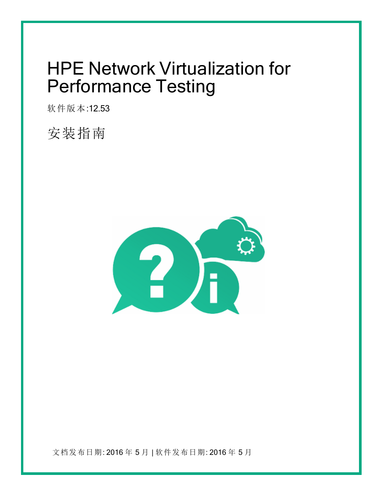# <span id="page-0-0"></span>HPE Network Virtualization for Performance Testing

软件版本:12.53

安装指南



文档发布日期: 2016 年 5 月 | 软件发布日期: 2016 年 5 月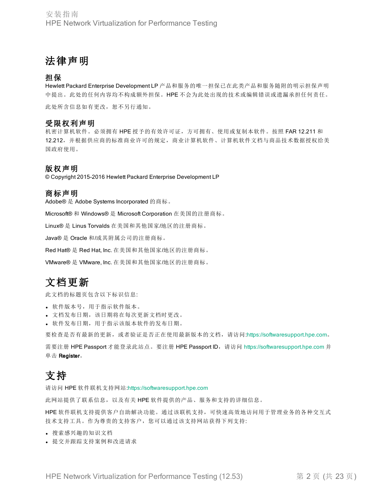### 法律声明

#### 担保

Hewlett Packard Enterprise Development LP 产品和服务的唯一担保已在此类产品和服务随附的明示担保声明 中提出。此处的任何内容均不构成额外担保。HPE 不会为此处出现的技术或编辑错误或遗漏承担任何责任。 此处所含信息如有更改,恕不另行通知。

#### 受限权利声明

机密计算机软件。必须拥有 HPE 授予的有效许可证,方可拥有、使用或复制本软件。按照 FAR 12.211 和 12.212,并根据供应商的标准商业许可的规定,商业计算机软件、计算机软件文档与商品技术数据授权给美 国政府使用。

#### 版权声明

© Copyright 2015-2016 Hewlett Packard Enterprise Development LP

#### 商标声明

Adobe® 是 Adobe Systems Incorporated 的商标。

Microsoft® 和 Windows® 是 Microsoft Corporation 在美国的注册商标。

Linux® 是 Linus Torvalds 在美国和其他国家/地区的注册商标。

Java® 是 Oracle 和/或其附属公司的注册商标。

Red Hat® 是 Red Hat, Inc. 在美国和其他国家/地区的注册商标。

VMware® 是 VMware, Inc. 在美国和其他国家/地区的注册商标。

### 文档更新

此文档的标题页包含以下标识信息:

- <sup>l</sup> 软件版本号,用于指示软件版本。
- <sup>l</sup> 文档发布日期,该日期将在每次更新文档时更改。
- <sup>l</sup> 软件发布日期,用于指示该版本软件的发布日期。

要检查是否有最新的更新,或者验证是否正在使用最新版本的文档,请访问:[https://softwaresupport.hpe.com](https://softwaresupport.hpe.com/)。

需要注册 HPE Passport 才能登录此站点。要注册 HPE Passport ID,请访问 [https://softwaresupport.hpe.com](https://softwaresupport.hpe.com/) 并 单击 Register。

### 支持

请访问 HPE 软件联机支持网站:[https://softwaresupport.hpe.com](https://softwaresupport.hpe.com/)

此网站提供了联系信息,以及有关 HPE 软件提供的产品、服务和支持的详细信息。

HPE 软件联机支持提供客户自助解决功能。通过该联机支持,可快速高效地访问用于管理业务的各种交互式 技术支持工具。作为尊贵的支持客户,您可以通过该支持网站获得下列支持:

- <sup>l</sup> 搜索感兴趣的知识文档
- <sup>l</sup> 提交并跟踪支持案例和改进请求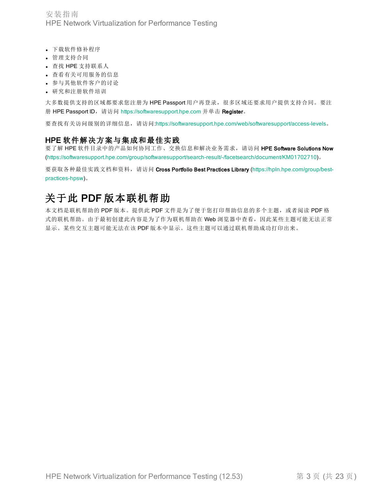安装指南 HPE Network Virtualization for Performance Testing

- <sup>l</sup> 下载软件修补程序
- <sup>l</sup> 管理支持合同
- <sup>l</sup> 查找 HPE 支持联系人
- <sup>l</sup> 查看有关可用服务的信息
- <sup>l</sup> 参与其他软件客户的讨论
- <sup>l</sup> 研究和注册软件培训

大多数提供支持的区域都要求您注册为 HPE Passport 用户再登录,很多区域还要求用户提供支持合同。要注 册 HPE Passport ID, 请访问 [https://softwaresupport.hpe.com](https://softwaresupport.hpe.com/) 并单击 Register。

要查找有关访问级别的详细信息,请访问[:https://softwaresupport.hpe.com/web/softwaresupport/access-levels](https://softwaresupport.hpe.com/web/softwaresupport/access-levels)。

#### HPE 软件解决方案与集成和最佳实践

要了解 HPE 软件目录中的产品如何协同工作、交换信息和解决业务需求,请访问 HPE Software Solutions Now (<https://softwaresupport.hpe.com/group/softwaresupport/search-result/-/facetsearch/document/KM01702710>)。

要获取各种最佳实践文档和资料,请访问 Cross Portfolio Best Practices Library ([https://hpln.hpe.com/group/best](https://hpln.hpe.com/group/best-practices-hpsw)[practices-hpsw](https://hpln.hpe.com/group/best-practices-hpsw))。

### 关于此 PDF 版本联机帮助

本文档是联机帮助的 PDF 版本。提供此 PDF 文件是为了便于您打印帮助信息的多个主题,或者阅读 PDF 格 式的联机帮助。由于最初创建此内容是为了作为联机帮助在 Web 浏览器中查看,因此某些主题可能无法正常 显示。某些交互主题可能无法在该 PDF 版本中显示。这些主题可以通过联机帮助成功打印出来。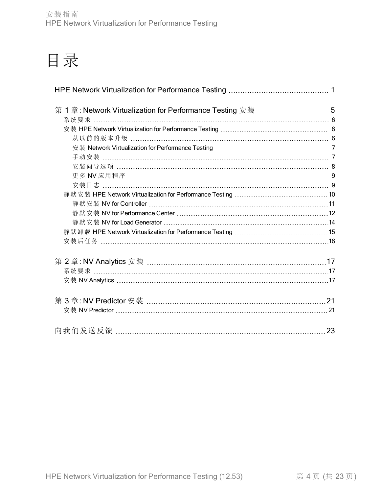# 目录

| 手动安装 …………………………………………………………………………………… 7            |    |
|----------------------------------------------------|----|
|                                                    |    |
|                                                    |    |
|                                                    |    |
|                                                    |    |
|                                                    |    |
|                                                    |    |
|                                                    |    |
|                                                    |    |
| 安装后任务 …………………………………………………………………………………………16         |    |
|                                                    |    |
| 系统要求 ………………………………………………………………………………………17           |    |
| 安装 NV Analytics ……………………………………………………………………………………17 |    |
|                                                    |    |
|                                                    |    |
|                                                    |    |
|                                                    | 23 |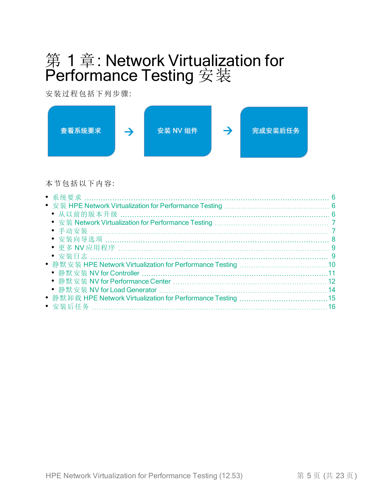## <span id="page-4-0"></span>第 1 章: Network Virtualization for Performance Testing 安装

安装过程包括下列步骤:



本节包括以下内容:

| • 从以前的版本升级 …………………………………………………………………………………… 6             |     |
|-----------------------------------------------------------|-----|
|                                                           |     |
| • 手动安装 ……………………………………………………………………………………… 7                |     |
| • 安装向导选项 …………………………………………………………………………………… 8               |     |
|                                                           |     |
|                                                           |     |
|                                                           |     |
|                                                           | .11 |
| ● 静默安装 NV for Performance Center ……………………………………………………… 12 |     |
|                                                           |     |
|                                                           |     |
| ● 安装后任务 ……………………………………………………………………………………16                |     |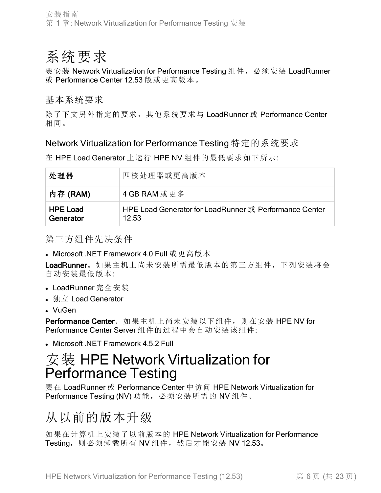## <span id="page-5-0"></span>系统要求

要安装 Network Virtualization for Performance Testing 组件, 必须安装 LoadRunner 或 Performance Center 12.53 版或更高版本。

基本系统要求

除了下文另外指定的要求,其他系统要求与 LoadRunner 或 Performance Center 相同。

### Network Virtualization for Performance Testing 特定的系统要求

在 HPE Load Generator 上运行 HPE NV 组件的最低要求如下所示:

| 处理器                          | 四核处理器或更高版本                                                      |
|------------------------------|-----------------------------------------------------------------|
| 内存 (RAM)                     | 4 GB RAM 或更多                                                    |
| <b>HPE Load</b><br>Generator | HPE Load Generator for LoadRunner 或 Performance Center<br>12.53 |

第三方组件先决条件

• Microsoft .NET Framework 4.0 Full 或更高版本

LoadRunner。如果主机上尚未安装所需最低版本的第三方组件,下列安装将会 自动安装最低版本:

- LoadRunner 完全安装
- 独立 Load Generator
- VuGen

Performance Center。如果主机上尚未安装以下组件, 则在安装 HPE NV for Performance Center Server 组件的过程中会自动安装该组件:

<span id="page-5-1"></span>**Microsoft .NET Framework 4.5.2 Full** 

## 安装 HPE Network Virtualization for Performance Testing

要在 LoadRunner 或 Performance Center 中访问 HPE Network Virtualization for Performance Testing (NV) 功能, 必须安装所需的 NV 组件。

## <span id="page-5-2"></span>从以前的版本升级

如果在计算机上安装了以前版本的 HPE Network Virtualization for Performance Testing, 则必须卸载所有 NV 组件, 然后才能安装 NV 12.53。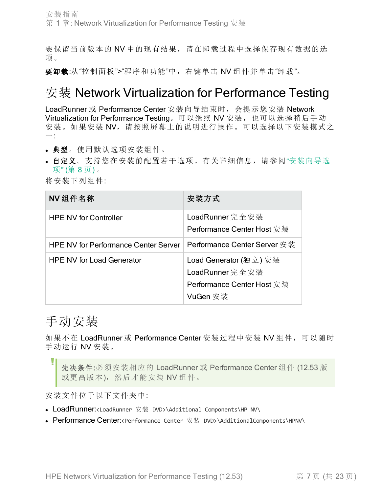要保留当前版本的 NV 中的现有结果,请在卸载过程中选择保存现有数据的选 项。

要卸载:从"控制面板">"程序和功能"中,右键单击 NV 组件并单击"卸载"。

### <span id="page-6-0"></span>安装 Network Virtualization for Performance Testing

LoadRunner 或 Performance Center 安装向导结束时, 会提示您安装 Network Virtualization for Performance Testing。可以继续 NV 安装, 也可以选择稍后手动 安装。如果安装 NV, 请按照屏幕上的说明进行操作。可以选择以下安装模式之 一:

- <sup>l</sup> 典型。使用默认选项安装组件。
- <sup>l</sup> 自定义。支持您在安装前配置若干选项。有关详细信息,请参阅"[安装向导选](#page-7-0) 项" ([第](#page-7-0) 8 页) 。

将安装下列组件:

| NV 组件名称                                     | 安装方式                                                                                |
|---------------------------------------------|-------------------------------------------------------------------------------------|
| <b>HPE NV for Controller</b>                | LoadRunner 完全安装<br>Performance Center Host 安装                                       |
| <b>HPE NV for Performance Center Server</b> | Performance Center Server 安装                                                        |
| <b>HPE NV for Load Generator</b>            | Load Generator (独立) 安装<br>LoadRunner 完全安装<br>Performance Center Host 安装<br>VuGen 安装 |

### <span id="page-6-1"></span>手动安装

如果不在 LoadRunner 或 Performance Center 安装过程中安装 NV 组件, 可以随时 手动运行 NV 安装。

先决条件:必须安装相应的 LoadRunner 或 Performance Center 组件 (12.53 版 或更高版本), 然后才能安装 NV 组件。

安装文件位于以下文件夹中:

- LoadRunner:<LoadRunner 安装 DVD>\Additional Components\HP NV\
- Performance Center:<Performance Center 安装 DVD>\AdditionalComponents\HPNV\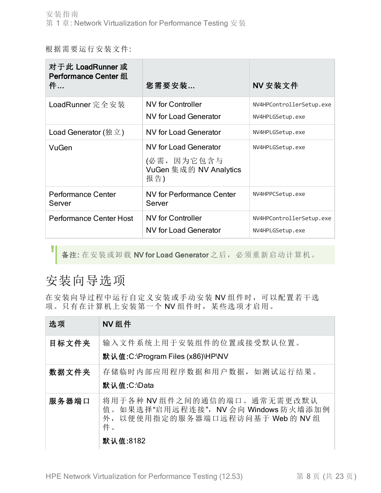根据需要运行安装文件:

| 对于此 LoadRunner 或<br>Performance Center 组<br>件… | 您需要安装                                                                        | NV 安装文件                                      |
|------------------------------------------------|------------------------------------------------------------------------------|----------------------------------------------|
| LoadRunner 完全安装                                | <b>NV</b> for Controller<br><b>NV for Load Generator</b>                     | NV4HPControllerSetup.exe<br>NV4HPLGSetup.exe |
| Load Generator (独立)                            | <b>NV for Load Generator</b>                                                 | NV4HPLGSetup.exe                             |
| VuGen                                          | <b>NV for Load Generator</b><br>(必需, 因为它包含与<br>VuGen 集成的 NV Analytics<br>报告) | NV4HPLGSetup.exe                             |
| <b>Performance Center</b><br>Server            | <b>NV for Performance Center</b><br>Server                                   | NV4HPPCSetup.exe                             |
| <b>Performance Center Host</b>                 | <b>NV</b> for Controller<br><b>NV for Load Generator</b>                     | NV4HPControllerSetup.exe<br>NV4HPLGSetup.exe |

备注: 在安装或卸载 NV for Load Generator 之后,必须重新启动计算机。

### <span id="page-7-0"></span>安装向导选项

L

在安装向导过程中运行自定义安装或手动安装 NV 组件时,可以配置若干选 项。只有在计算机上安装第一个 NV 组件时,某些选项才启用。

| 选项    | NV组件                                                                                                                             |
|-------|----------------------------------------------------------------------------------------------------------------------------------|
| 目标文件夹 | 输入文件系统上用于安装组件的位置或接受默认位置。<br>默认值:C:\Program Files (x86)\HP\NV                                                                     |
| 数据文件夹 | 存储临时内部应用程序数据和用户数据, 如测试运行结果。<br>默认值:C:\Data                                                                                       |
| 服务器端口 | 将用于各种 NV组件之间的通信的端口。通常无需更改默认<br>如果选择"启用远程连接", NV 会向 Windows 防火墙添加例<br>值。<br>以便使用指定的服务器端口远程访问基于 Web 的 NV 组<br>外,<br>件。<br>默认值:8182 |

HPE Network Virtualization for Performance Testing (12.53) 第 8 页 (共 23 页)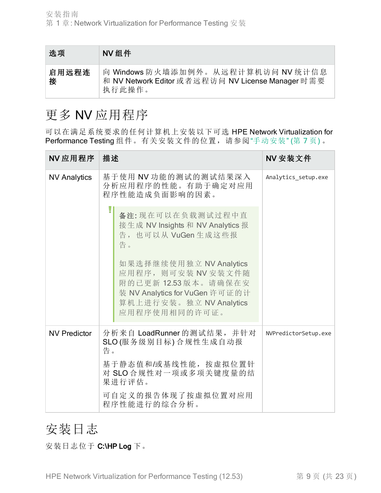| 选项         | NV组件                                                                                              |
|------------|---------------------------------------------------------------------------------------------------|
| 启用远程连<br>接 | 向 Windows 防火墙添加例外。从远程计算机访问 NV 统计信息<br>和 NV Network Editor 或者远程访问 NV License Manager 时需要<br>执行此操作。 |

### <span id="page-8-0"></span>更多 NV 应用程序

可以在满足系统要求的任何计算机上安装以下可选 HPE Network Virtualization for Performance Testing 组件。有关安装文件的位置, 请参阅"[手动安装](#page-6-1)" (第7页)。

| NV 应用程序             | 描述                                                                                                                                                  | NV 安装文件              |
|---------------------|-----------------------------------------------------------------------------------------------------------------------------------------------------|----------------------|
| <b>NV Analytics</b> | 基于使用 NV 功能的测试的测试结果深入<br>分析应用程序的性能。有助于确定对应用<br>程序性能造成负面影响的因素。                                                                                        | Analytics setup.exe  |
|                     | 备注:现在可以在负载测试过程中直<br>接生成 NV Insights 和 NV Analytics 报<br>告, 也可以从 VuGen 生成这些报<br>告。                                                                   |                      |
|                     | 如果选择继续使用独立 NV Analytics<br>应用程序, 则可安装 NV 安装文件随<br>附的已更新 12.53版本。请确保在安<br>装 NV Analytics for VuGen 许可证的计<br>算机上进行安装。独立 NV Analytics<br>应用程序使用相同的许可证。 |                      |
| <b>NV Predictor</b> | 分析来自 LoadRunner 的测试结果, 并针对<br>SLO(服务级别目标)合规性生成自动报<br>告。                                                                                             | NVPredictorSetup.exe |
|                     | 基于静态值和/或基线性能, 按虚拟位置针<br>对 SLO合规性对一项或多项关键度量的结<br>果进行评估。                                                                                              |                      |
|                     | 可自定义的报告体现了按虚拟位置对应用<br>程序性能进行的综合分析。                                                                                                                  |                      |

### <span id="page-8-1"></span>安装日志

安装日志位于 C:\HP Log 下。

HPE Network Virtualization for Performance Testing (12.53) 第 9 页 (共 23 页)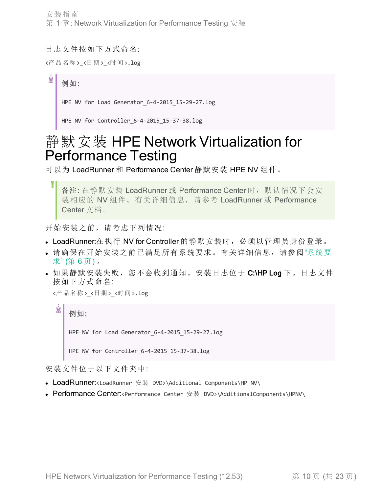安装指南 第 1 章: Network Virtualization for Performance Testing 安装

日志文件按如下方式命名:

<产品名称><日期><时间>.log

Ń. 例如:

HPE NV for Load Generator 6-4-2015 15-29-27.log

HPE NV for Controller\_6-4-2015\_15-37-38.log

## <span id="page-9-0"></span>静默安装 HPE Network Virtualization for Performance Testing

可以为 LoadRunner 和 Performance Center 静默安装 HPE NV 组件。

备注: 在静默安装 LoadRunner 或 Performance Center 时, 默认情况下会安 装相应的 NV 组件。有关详细信息, 请参考 LoadRunner 或 Performance Center 文档。

开始安装之前,请考虑下列情况:

- LoadRunner:在执行 NV for Controller 的静默安装时, 必须以管理员身份登录。
- <sup>l</sup> 请确保在开始安装之前已满足所有系统要求。有关详细信息,请参阅"[系统要](#page-5-0) 求" ([第](#page-5-0) 6 页) 。
- 如果静默安装失败,您不会收到通知。安装日志位于 C:\HP Log 下。日志文件 按如下方式命名:

<产品名称><日期><时间>.log

Ń. 例如: HPE NV for Load Generator 6-4-2015 15-29-27.log HPE NV for Controller 6-4-2015 15-37-38.log

安装文件位于以下文件夹中:

- LoadRunner:<LoadRunner 安装 DVD>\Additional Components\HP NV\
- Performance Center:<Performance Center 安装 DVD>\AdditionalComponents\HPNV\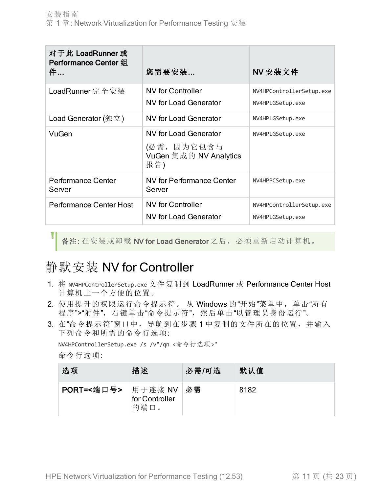| 对于此 LoadRunner 或<br><b>Performance Center 组</b><br>件… | 您需要安装…                                                                       | NV 安装文件                                      |
|-------------------------------------------------------|------------------------------------------------------------------------------|----------------------------------------------|
| LoadRunner 完全安装                                       | <b>NV</b> for Controller<br>NV for Load Generator                            | NV4HPControllerSetup.exe<br>NV4HPLGSetup.exe |
| Load Generator (独立)                                   | NV for Load Generator                                                        | NV4HPLGSetup.exe                             |
| VuGen                                                 | <b>NV for Load Generator</b><br>(必需, 因为它包含与<br>VuGen 集成的 NV Analytics<br>报告) | NV4HPLGSetup.exe                             |
| <b>Performance Center</b><br>Server                   | <b>NV for Performance Center</b><br>Server                                   | NV4HPPCSetup.exe                             |
| <b>Performance Center Host</b>                        | <b>NV</b> for Controller<br><b>NV for Load Generator</b>                     | NV4HPControllerSetup.exe<br>NV4HPLGSetup.exe |

备注: 在安装或卸载 NV for Load Generator 之后,必须重新启动计算机。

### <span id="page-10-0"></span>静默安装 NV for Controller

- 1. 将 NV4HPControllerSetup.exe 文件复制到 LoadRunner 或 Performance Center Host 计算机上一个方便的位置。
- 2. 使用提升的权限运行命令提示符。 从 Windows 的"开始"菜单中,单击"所有 程序">"附件",右键单击"命令提示符",然后单击"以管理员身份运行"。
- 3. 在"命令提示符"窗口中,导航到在步骤 1 中复制的文件所在的位置,并输入 下列命令和所需的命令行选项:

NV4HPControllerSetup.exe /s /v"/qn <命令行选项>"

命令行选项:

| 选项                   | 描述                     | 必需/可选 | 默认值  |
|----------------------|------------------------|-------|------|
| PORT=<端口号>   用于连接 NV | for Controller<br>的端口。 | 必需    | 8182 |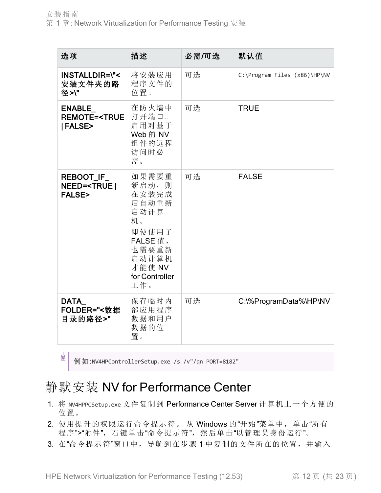| 选项                                                                            | 描述                                                                                                                       | 必需/可选 | 默认值                          |
|-------------------------------------------------------------------------------|--------------------------------------------------------------------------------------------------------------------------|-------|------------------------------|
| <b>INSTALLDIR=\"&lt;</b><br>安装文件夹的路<br>径>\"                                   | 将安装应用<br>程序文件的<br>位置。                                                                                                    | 可选    | C:\Program Files (x86)\HP\NV |
| <b>ENABLE</b><br><b>REMOTE=<true< b=""><br/><b> FALSE&gt;</b></true<></b>     | 在防火墙中<br>打开端口。<br>启用对基于<br>Web 的 NV<br>组件的远程<br>访问时必<br>需。                                                               | 可选    | <b>TRUE</b>                  |
| <b>REBOOT IF</b><br><b>NEED=<true b=""  <=""><br/><b>FALSE&gt;</b></true></b> | 如果需要重<br>新启动,则<br>在安装完成<br>后自动重新<br>启动计算<br>机。<br>即使使用了<br>FALSE 值,<br>也需要重新<br>启动计算机<br>才能使 NV<br>for Controller<br>工作。 | 可选    | <b>FALSE</b>                 |
| DATA<br>FOLDER="<数据<br>目录的路径>"                                                | 保存临时内<br>部应用程序<br>数据和用户<br>数据的位<br>置。                                                                                    | 可选    | C:\%ProgramData%\HP\NV       |

¥

例如:NV4HPControllerSetup.exe /s /v"/qn PORT=8182"

### <span id="page-11-0"></span>静默安装 NV for Performance Center

- 1. 将 NV4HPPCSetup.exe 文件复制到 Performance Center Server 计算机上一个方便的 位置。
- 2. 使用提升的权限运行命令提示符。从 Windows 的"开始"菜单中,单击"所有 程序">"附件",右键单击"命令提示符",然后单击"以管理员身份运行"。
- 3. 在"命令提示符"窗口中,导航到在步骤 1 中复制的文件所在的位置,并输入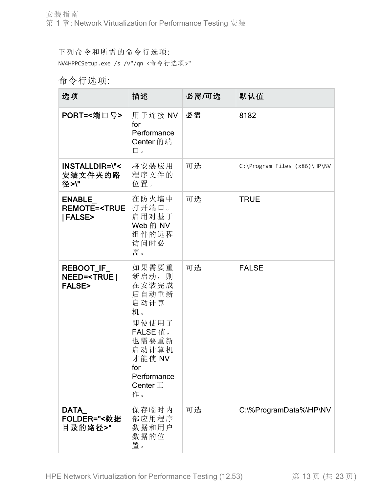下列命令和所需的命令行选项:

NV4HPPCSetup.exe /s /v"/qn <命令行选项>"

### 命令行选项:

| 选项                                                                             | 描述                                                                                                                                                     | 必需/可选 | 默认值                          |
|--------------------------------------------------------------------------------|--------------------------------------------------------------------------------------------------------------------------------------------------------|-------|------------------------------|
| PORT=<端口号>                                                                     | 用于连接 NV<br>for<br>Performance<br>Center 的端<br>口。                                                                                                       | 必需    | 8182                         |
| <b>INSTALLDIR=\"&lt;</b><br>安装文件夹的路<br>径>\"                                    | 将安装应用<br>程序文件的<br>位置。                                                                                                                                  | 可选    | C:\Program Files (x86)\HP\NV |
| ENABLE<br><b>REMOTE=<true< b=""><br/>  FALSE&gt;</true<></b>                   | 在防火墙中<br>打开端口。<br>启用对基于<br>Web 的 NV<br>组件的远程<br>访问时必<br>需。                                                                                             | 可选    | <b>TRUE</b>                  |
| <b>REBOOT_IF_</b><br><b>NEED=<true b=""  <=""><br/><b>FALSE&gt;</b></true></b> | 如果需要重<br>新启动, 则<br>在安装完成<br>后自动重新<br>启动计算<br>机。<br>即使使用了<br>FALSE 值,<br>也需要重新<br>启动计算机<br>才能使 NV<br>for<br>Performance<br>Center $\mathcal{I}$ .<br>作。 | 可选    | <b>FALSE</b>                 |
| DATA<br>FOLDER="<数据<br>目录的路径>"                                                 | 保存临时内<br>部应用程序<br>数据和用户<br>数据的位<br>置。                                                                                                                  | 可选    | C:\%ProgramData%\HP\NV       |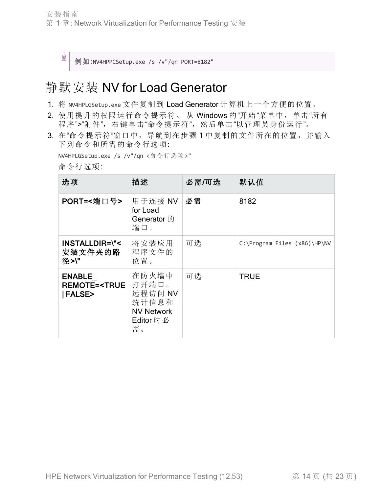Ń.

例如:NV4HPPCSetup.exe /s /v"/qn PORT=8182"

### <span id="page-13-0"></span>静默安装 NV for Load Generator

- 1. 将 NV4HPLGSetup.exe 文件复制到 Load Generator 计算机上一个方便的位置。
- 2. 使用提升的权限运行命令提示符。从 Windows 的"开始"菜单中,单击"所有 程序">"附件",右键单击"命令提示符",然后单击"以管理员身份运行"。
- 3. 在"命令提示符"窗口中,导航到在步骤 1 中复制的文件所在的位置,并输入 下列命令和所需的命令行选项:

NV4HPLGSetup.exe /s /v"/qn <命令行选项>"

命令行选项:

| 选项                                                                  | 描述                                                                          | 必需/可选 | 默认值                          |
|---------------------------------------------------------------------|-----------------------------------------------------------------------------|-------|------------------------------|
| PORT=<端口号>                                                          | 用于连接 NV<br>for Load<br>Generator 的<br>端口。                                   | 必需    | 8182                         |
| <b>INSTALLDIR=\"&lt;</b><br>安装文件夹的路<br>径>\"                         | 将安装应用<br>程序文件的<br>位置。                                                       | 可选    | C:\Program Files (x86)\HP\NV |
| <b>ENABLE</b><br><b>REMOTE=<true< b=""><br/>  FALSE&gt;</true<></b> | 在防火墙中<br>打开端口。<br>远程访问 NV<br>统计信息和<br><b>NV Network</b><br>Editor 时 必<br>需。 | 可选    | <b>TRUE</b>                  |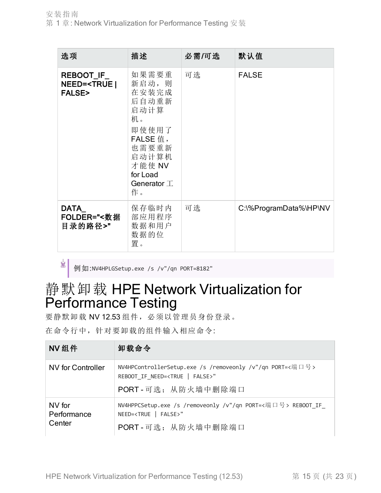| 选项                                                               | 描述                                                                                                                                           | 必需/可选 | 默认值                    |
|------------------------------------------------------------------|----------------------------------------------------------------------------------------------------------------------------------------------|-------|------------------------|
| <b>REBOOT_IF_</b><br>NEED= <true <br><b>FALSE&gt;</b></true <br> | 如果需要重<br>新启动,则<br>在安装完成<br>后自动重新<br>启动计算<br>机。<br>即使使用了<br>FALSE 值,<br>也需要重新<br>启动计算机<br>才能使 NV<br>for Load<br>Generator $\mathcal{I}$<br>作。 | 可选    | <b>FALSE</b>           |
| DATA<br>FOLDER="<数据<br>目录的路径>"                                   | 保存临时内<br>部应用程序<br>数据和用户<br>数据的位<br>置。                                                                                                        | 可选    | C:\%ProgramData%\HP\NV |

例如:NV4HPLGSetup.exe /s /v"/qn PORT=8182"

Ý.

## <span id="page-14-0"></span>静默卸载 HPE Network Virtualization for Performance Testing

要静默卸载 NV 12.53 组件,必须以管理员身份登录。

在命令行中,针对要卸载的组件输入相应命令:

| NV组件                            | 卸载命令                                                                                                                               |
|---------------------------------|------------------------------------------------------------------------------------------------------------------------------------|
| NV for Controller               | NV4HPControllerSetup.exe /s /removeonly /v"/qn PORT=<端口号><br>REBOOT IF NEED= <true false=""  ="">"<br/>PORT - 可选: 从防火墙中删除端口</true> |
| NV for<br>Performance<br>Center | NV4HPPCSetup.exe /s /removeonly /v"/qn PORT=<端口号> REBOOT IF<br>NEED= <true false=""  ="">"<br/>PORT - 可选: 从防火墙中删除端口</true>         |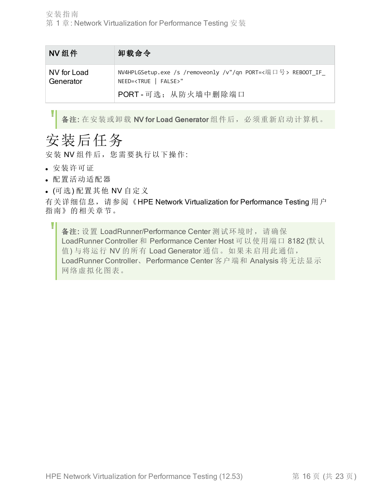| NV组件                     | 卸载命令                                                                                               |
|--------------------------|----------------------------------------------------------------------------------------------------|
| NV for Load<br>Generator | NV4HPLGSetup.exe /s /removeonly /v"/qn PORT=<端口号> REBOOT_IF_<br>NEED= <true false=""  ="">"</true> |
|                          | PORT - 可选: 从防火墙中删除端口                                                                               |

备注: 在安装或卸载 NV for Load Generator 组件后,必须重新启动计算机。

## <span id="page-15-0"></span>安装后任务

安装 NV 组件后, 您需要执行以下操作:

- <sup>l</sup> 安装许可证
- <sup>l</sup> 配置活动适配器
- <sup>l</sup> (可选) 配置其他 NV 自定义

有关详细信息, 请参阅《HPE Network Virtualization for Performance Testing 用户 指南》的相关章节。

备注: 设置 LoadRunner/Performance Center 测试环境时, 请确保 LoadRunner Controller 和 Performance Center Host 可以使用端口 8182 (默认 值) 与将运行 NV 的所有 Load Generator 通信。如果未启用此通信, LoadRunner Controller、Performance Center 客户端和 Analysis 将无法显示 网络虚拟化图表。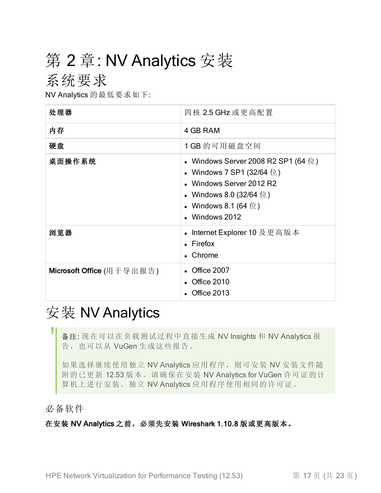# <span id="page-16-1"></span><span id="page-16-0"></span>第 2 章: NV Analytics 安装

### 系统要求

NV Analytics 的最低要求如下:

| 处理器                              | 四核 2.5 GHz 或更高配置                                                                                                                                                           |
|----------------------------------|----------------------------------------------------------------------------------------------------------------------------------------------------------------------------|
| 内存                               | 4 GB RAM                                                                                                                                                                   |
| 硬盘                               | 1 GB 的可用磁盘空间                                                                                                                                                               |
| 桌面操作系统                           | • Windows Server 2008 R2 SP1 (64 位)<br>• Windows 7 SP1 (32/64 位)<br>• Windows Server 2012 R2<br>• Windows 8.0 (32/64 $\oplus$ )<br>• Windows 8.1 (64 位 )<br>• Windows 2012 |
| 浏览器                              | • Internet Explorer 10 及更高版本<br>$\bullet$ Firefox<br>• Chrome                                                                                                              |
| <b>Microsoft Office</b> (用于导出报告) | • Office 2007<br>• Office 2010<br><b>Office 2013</b>                                                                                                                       |

## <span id="page-16-2"></span>安装 NV Analytics

备注: 现在可以在负载测试过程中直接生成 NV Insights 和 NV Analytics 报 告,也可以从 VuGen 生成这些报告。

如果选择继续使用独立 NV Analytics 应用程序,则可安装 NV 安装文件随 附的已更新 12.53 版本。请确保在安装 NV Analytics for VuGen 许可证的计 算机上进行安装。独立 NV Analytics 应用程序使用相同的许可证。

#### 必备软件

在安装 NV Analytics 之前,必须先安装 Wireshark 1.10.8 版或更高版本。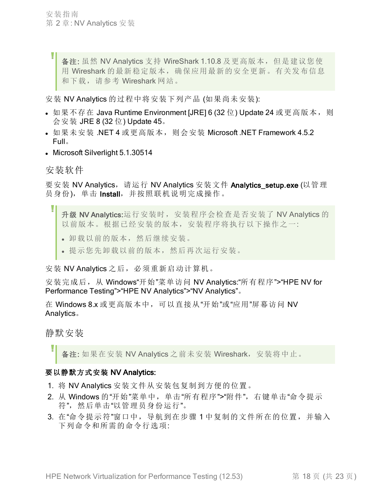备注: 虽然 NV Analytics 支持 WireShark 1.10.8 及更高版本, 但是建议您使 用 Wireshark 的最新稳定版本,确保应用最新的安全更新。有关发布信息 和下载,请参考 Wireshark 网站。

安装 NV Analytics 的过程中将安装下列产品 (如果尚未安装):

- 如果不存在 Java Runtime Environment [JRE] 6 (32 位) Update 24 或更高版本, 则 会安装 JRE 8 (32 位) Update 45。
- 如果未安装 .NET 4 或更高版本, 则会安装 Microsoft .NET Framework 4.5.2 Full。
- Microsoft Silverlight 5.1.30514

安装软件

I

要安装 NV Analytics, 请运行 NV Analytics 安装文件 Analytics setup.exe (以管理 员身份),单击 Install, 并按照联机说明完成操作。

- 升级 NV Analytics:运行安装时, 安装程序会检查是否安装了 NV Analytics 的 以前版本。根据已经安装的版本,安装程序将执行以下操作之一:
	- <sup>l</sup> 卸载以前的版本,然后继续安装。
	- <sup>l</sup> 提示您先卸载以前的版本,然后再次运行安装。

安装 NV Analytics 之后, 必须重新启动计算机。

安装完成后, 从 Windows"开始"菜单访问 NV Analytics:"所有程序">"HPE NV for Performance Testing">"HPE NV Analytics">"NV Analytics"。

在 Windows 8.x 或更高版本中, 可以直接从"开始"或"应用"屏幕访问 NV Analytics。

#### 静默安装

备注: 如果在安装 NV Analytics 之前未安装 Wireshark, 安装将中止。

#### 要以静默方式安装 NV Analytics:

- 1. 将 NV Analytics 安装文件从安装包复制到方便的位置。
- 2. 从 Windows 的"开始"菜单中,单击"所有程序">"附件",右键单击"命令提示 符",然后单击"以管理员身份运行"。
- 3. 在"命令提示符"窗口中,导航到在步骤 1 中复制的文件所在的位置,并输入 下列命令和所需的命令行选项: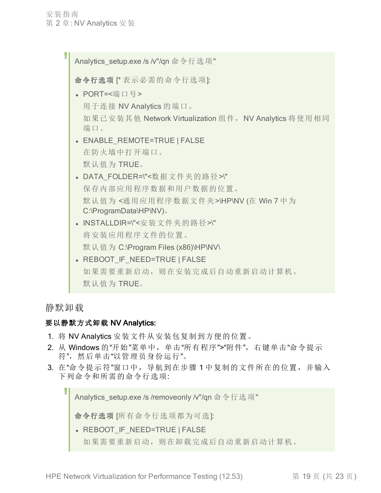Analytics\_setup.exe /s /v"/qn 命令行选项" 命令行选项 [\* 表示必需的命令行选项]: • PORT=<端口号> 用于连接 NV Analytics 的端口。 如果已安装其他 Network Virtualization 组件, NV Analytics 将使用相同 端口。 • ENABLE REMOTE=TRUE | FALSE 在防火墙中打开端口。 默认值为 TRUE。 • DATA FOLDER=\"<数据文件夹的路径>\" 保存内部应用程序数据和用户数据的位置。 默认值为<通用应用程序数据文件夹>\HP\NV (在 Win 7 中为 C:\ProgramData\HP\NV)。 • INSTALLDIR=\"<安装文件夹的路径>\" 将安装应用程序文件的位置。 默认值为 C:\Program Files (x86)\HP\NV\ • REBOOT\_IF\_NEED=TRUE | FALSE 如果需要重新启动,则在安装完成后自动重新启动计算机。 默认值为 TRUE。

静默卸载

#### 要以静默方式卸载 NV Analytics:

- 1. 将 NV Analytics 安装文件从安装包复制到方便的位置。
- 2. 从 Windows 的"开始"菜单中,单击"所有程序">"附件",右键单击"命令提示 符",然后单击"以管理员身份运行"。
- 3. 在"命令提示符"窗口中,导航到在步骤 1 中复制的文件所在的位置,并输入 下列命令和所需的命令行选项:

Analytics\_setup.exe /s /removeonly /v"/qn 命令行选项"

命令行选项 [所有命令行选项都为可选]:

- . REBOOT\_IF\_NEED=TRUE | FALSE
	- 如果需要重新启动,则在卸载完成后自动重新启动计算机。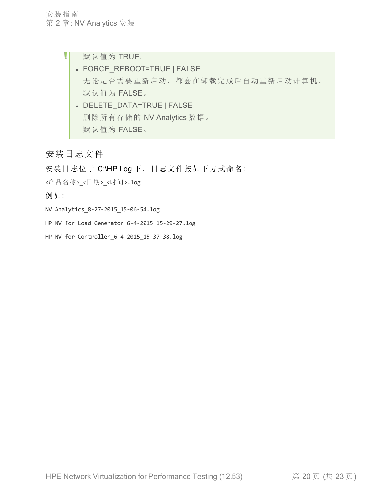- H 默认值为 TRUE。
	- FORCE\_REBOOT=TRUE | FALSE 无论是否需要重新启动,都会在卸载完成后自动重新启动计算机。 默认值为 FALSE。
	- DELETE\_DATA=TRUE | FALSE 删除所有存储的 NV Analytics 数据。 默认值为 FALSE。

### 安装日志文件

安装日志位于 C:\HP Log 下。日志文件按如下方式命名:

<产品名称><日期><时间>.log

例如:

NV Analytics\_8-27-2015\_15-06-54.log

HP NV for Load Generator 6-4-2015 15-29-27.log

HP NV for Controller 6-4-2015 15-37-38.log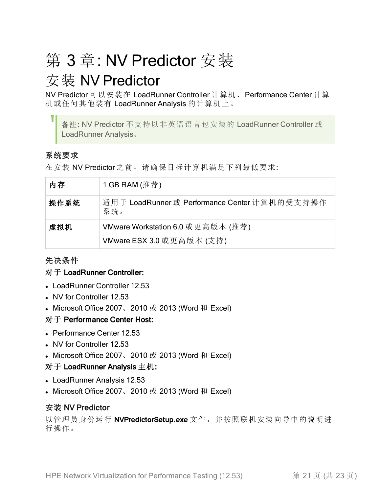# <span id="page-20-0"></span>第 3 章: NV Predictor 安装

## <span id="page-20-1"></span>安装 NV Predictor

NV Predictor 可以安装在 LoadRunner Controller 计算机、Performance Center 计算 机或任何其他装有 LoadRunner Analysis 的计算机上。

备注: NV Predictor 不支持以非英语语言包安装的 LoadRunner Controller 或 LoadRunner Analysis。

### 系统要求

在安装 NV Predictor 之前, 请确保目标计算机满足下列最低要求:

| 内存   | 1 GB RAM (推荐)                                        |
|------|------------------------------------------------------|
| 操作系统 | 适用于 LoadRunner 或 Performance Center 计算机的受支持操作<br>系统。 |
| 虚拟机  | VMware Workstation 6.0 或更高版本 (推荐)                    |
|      | VMware ESX 3.0 或更高版本 (支持)                            |

### 先决条件

#### 对于 LoadRunner Controller:

- LoadRunner Controller 12.53
- NV for Controller 12.53
- Microsoft Office 2007、2010 或 2013 (Word 和 Excel)

#### 对于 Performance Center Host:

- Performance Center 12.53
- NV for Controller 12.53
- Microsoft Office 2007、2010 或 2013 (Word 和 Excel)

#### 对于 LoadRunner Analysis 主机:

- LoadRunner Analysis 12.53
- Microsoft Office 2007、2010 或 2013 (Word 和 Excel)

### 安装 NV Predictor

以管理员身份运行 NVPredictorSetup.exe 文件, 并按照联机安装向导中的说明进 行操作。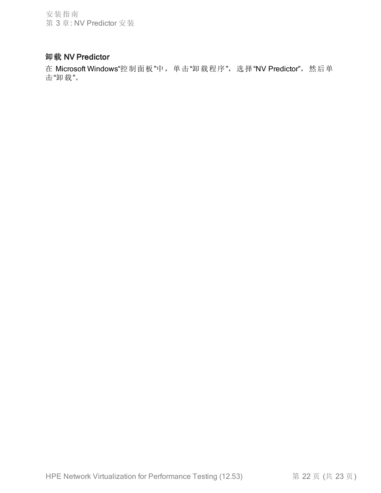安装指南 第 3 章: NV Predictor 安装

### 卸载 NV Predictor

在 Microsoft Windows"控制面板"中,单击"卸载程序",选择"NV Predictor",然后单 击"卸载"。